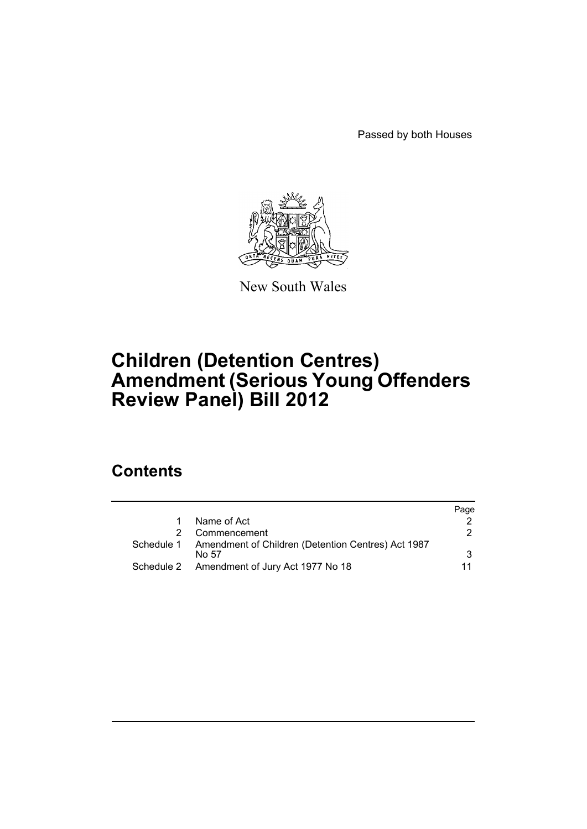Passed by both Houses



New South Wales

# **Children (Detention Centres) Amendment (Serious Young Offenders Review Panel) Bill 2012**

# **Contents**

|                                                                        | Page |
|------------------------------------------------------------------------|------|
| Name of Act                                                            |      |
| Commencement                                                           | 2    |
| Schedule 1 Amendment of Children (Detention Centres) Act 1987<br>No 57 | 3    |
| Schedule 2 Amendment of Jury Act 1977 No 18                            |      |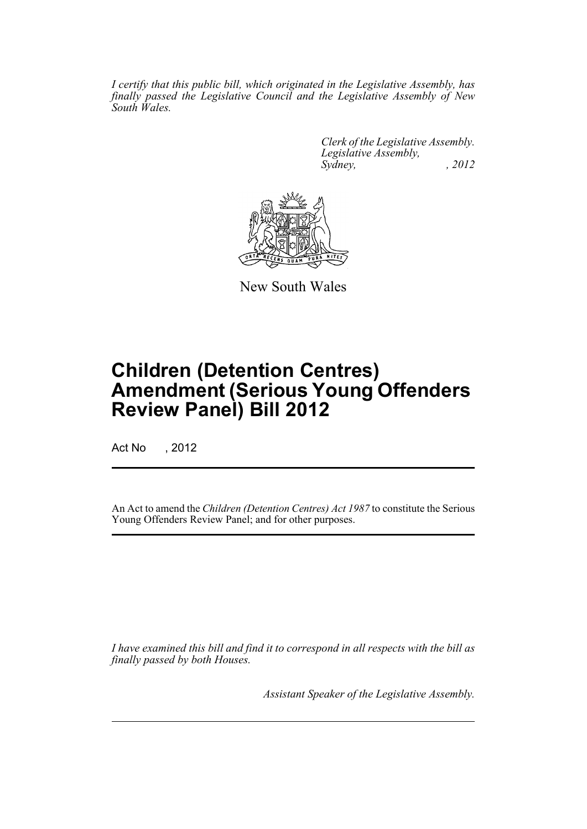*I certify that this public bill, which originated in the Legislative Assembly, has finally passed the Legislative Council and the Legislative Assembly of New South Wales.*

> *Clerk of the Legislative Assembly. Legislative Assembly, Sydney, , 2012*



New South Wales

# **Children (Detention Centres) Amendment (Serious Young Offenders Review Panel) Bill 2012**

Act No , 2012

An Act to amend the *Children (Detention Centres) Act 1987* to constitute the Serious Young Offenders Review Panel; and for other purposes.

*I have examined this bill and find it to correspond in all respects with the bill as finally passed by both Houses.*

*Assistant Speaker of the Legislative Assembly.*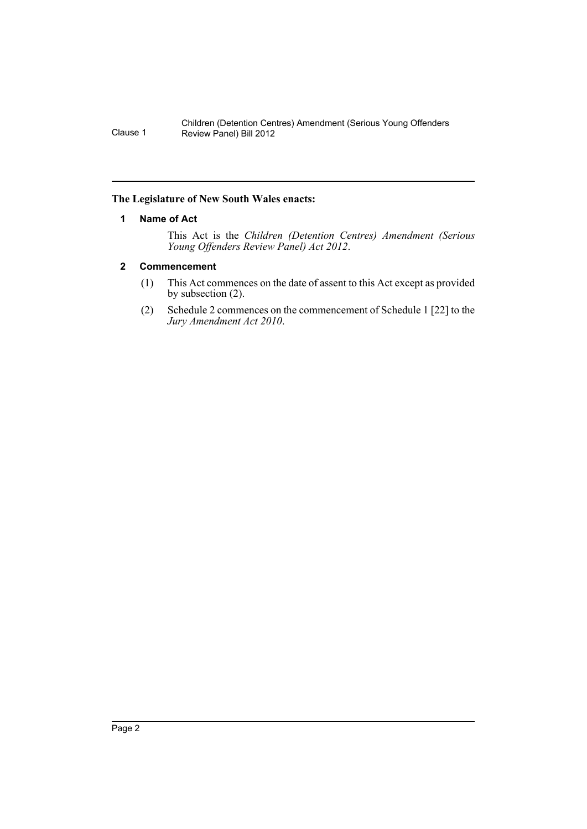## <span id="page-3-0"></span>**The Legislature of New South Wales enacts:**

## **1 Name of Act**

This Act is the *Children (Detention Centres) Amendment (Serious Young Offenders Review Panel) Act 2012*.

## <span id="page-3-1"></span>**2 Commencement**

- (1) This Act commences on the date of assent to this Act except as provided by subsection (2).
- (2) Schedule 2 commences on the commencement of Schedule 1 [22] to the *Jury Amendment Act 2010*.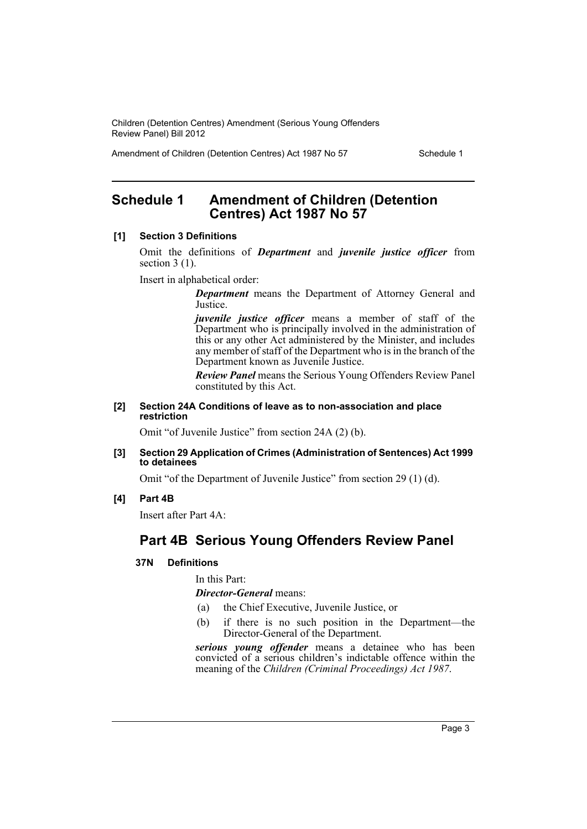Amendment of Children (Detention Centres) Act 1987 No 57 Schedule 1

## <span id="page-4-0"></span>**Schedule 1 Amendment of Children (Detention Centres) Act 1987 No 57**

## **[1] Section 3 Definitions**

Omit the definitions of *Department* and *juvenile justice officer* from section 3 (1).

Insert in alphabetical order:

*Department* means the Department of Attorney General and Justice.

*juvenile justice officer* means a member of staff of the Department who is principally involved in the administration of this or any other Act administered by the Minister, and includes any member of staff of the Department who is in the branch of the Department known as Juvenile Justice.

*Review Panel* means the Serious Young Offenders Review Panel constituted by this Act.

## **[2] Section 24A Conditions of leave as to non-association and place restriction**

Omit "of Juvenile Justice" from section 24A (2) (b).

## **[3] Section 29 Application of Crimes (Administration of Sentences) Act 1999 to detainees**

Omit "of the Department of Juvenile Justice" from section 29 (1) (d).

## **[4] Part 4B**

Insert after Part 4A:

## **Part 4B Serious Young Offenders Review Panel**

## **37N Definitions**

In this Part:

*Director-General* means:

- (a) the Chief Executive, Juvenile Justice, or
- (b) if there is no such position in the Department—the Director-General of the Department.

*serious young offender* means a detainee who has been convicted of a serious children's indictable offence within the meaning of the *Children (Criminal Proceedings) Act 1987*.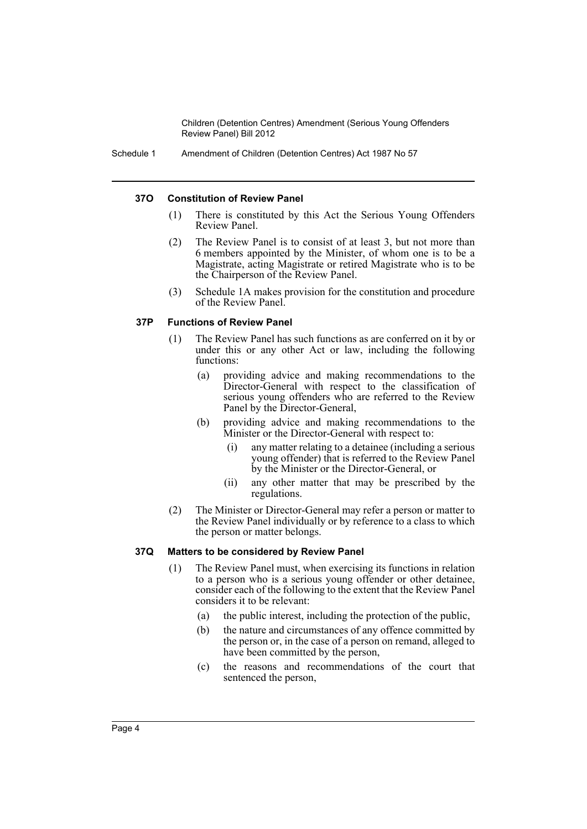Schedule 1 Amendment of Children (Detention Centres) Act 1987 No 57

### **37O Constitution of Review Panel**

- (1) There is constituted by this Act the Serious Young Offenders Review Panel.
- (2) The Review Panel is to consist of at least 3, but not more than 6 members appointed by the Minister, of whom one is to be a Magistrate, acting Magistrate or retired Magistrate who is to be the Chairperson of the Review Panel.
- (3) Schedule 1A makes provision for the constitution and procedure of the Review Panel.

### **37P Functions of Review Panel**

- (1) The Review Panel has such functions as are conferred on it by or under this or any other Act or law, including the following functions:
	- (a) providing advice and making recommendations to the Director-General with respect to the classification of serious young offenders who are referred to the Review Panel by the Director-General,
	- (b) providing advice and making recommendations to the Minister or the Director-General with respect to:
		- (i) any matter relating to a detainee (including a serious young offender) that is referred to the Review Panel by the Minister or the Director-General, or
		- (ii) any other matter that may be prescribed by the regulations.
- (2) The Minister or Director-General may refer a person or matter to the Review Panel individually or by reference to a class to which the person or matter belongs.

## **37Q Matters to be considered by Review Panel**

- (1) The Review Panel must, when exercising its functions in relation to a person who is a serious young offender or other detainee, consider each of the following to the extent that the Review Panel considers it to be relevant:
	- (a) the public interest, including the protection of the public,
	- (b) the nature and circumstances of any offence committed by the person or, in the case of a person on remand, alleged to have been committed by the person,
	- (c) the reasons and recommendations of the court that sentenced the person,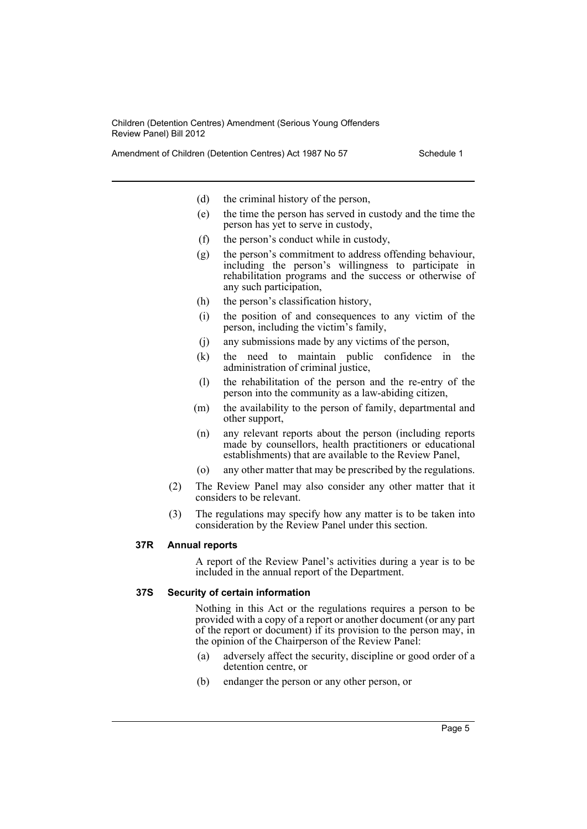Amendment of Children (Detention Centres) Act 1987 No 57 Schedule 1

- (d) the criminal history of the person,
- (e) the time the person has served in custody and the time the person has yet to serve in custody,
- (f) the person's conduct while in custody,
- (g) the person's commitment to address offending behaviour, including the person's willingness to participate in rehabilitation programs and the success or otherwise of any such participation,
- (h) the person's classification history,
- (i) the position of and consequences to any victim of the person, including the victim's family,
- (j) any submissions made by any victims of the person,
- (k) the need to maintain public confidence in the administration of criminal justice,
- (l) the rehabilitation of the person and the re-entry of the person into the community as a law-abiding citizen,
- (m) the availability to the person of family, departmental and other support,
- (n) any relevant reports about the person (including reports made by counsellors, health practitioners or educational establishments) that are available to the Review Panel,
- (o) any other matter that may be prescribed by the regulations.
- (2) The Review Panel may also consider any other matter that it considers to be relevant.
- (3) The regulations may specify how any matter is to be taken into consideration by the Review Panel under this section.

### **37R Annual reports**

A report of the Review Panel's activities during a year is to be included in the annual report of the Department.

### **37S Security of certain information**

Nothing in this Act or the regulations requires a person to be provided with a copy of a report or another document (or any part of the report or document) if its provision to the person may, in the opinion of the Chairperson of the Review Panel:

- (a) adversely affect the security, discipline or good order of a detention centre, or
- (b) endanger the person or any other person, or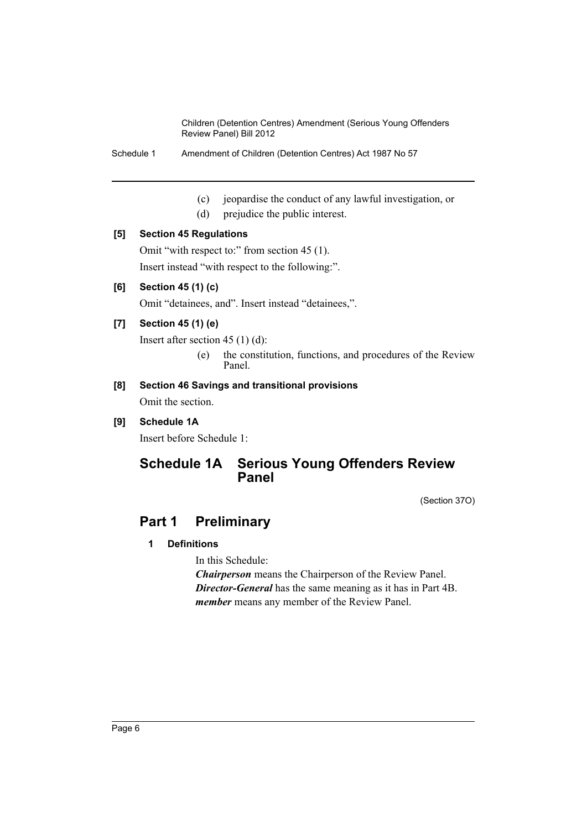Schedule 1 Amendment of Children (Detention Centres) Act 1987 No 57

- (c) jeopardise the conduct of any lawful investigation, or
- (d) prejudice the public interest.

## **[5] Section 45 Regulations**

Omit "with respect to:" from section 45 (1).

Insert instead "with respect to the following:".

## **[6] Section 45 (1) (c)**

Omit "detainees, and". Insert instead "detainees,".

## **[7] Section 45 (1) (e)**

Insert after section 45 (1) (d):

(e) the constitution, functions, and procedures of the Review Panel.

## **[8] Section 46 Savings and transitional provisions**

Omit the section.

**[9] Schedule 1A**

Insert before Schedule 1:

# **Schedule 1A Serious Young Offenders Review Panel**

(Section 37O)

# **Part 1 Preliminary**

## **1 Definitions**

In this Schedule:

*Chairperson* means the Chairperson of the Review Panel. *Director-General* has the same meaning as it has in Part 4B. *member* means any member of the Review Panel.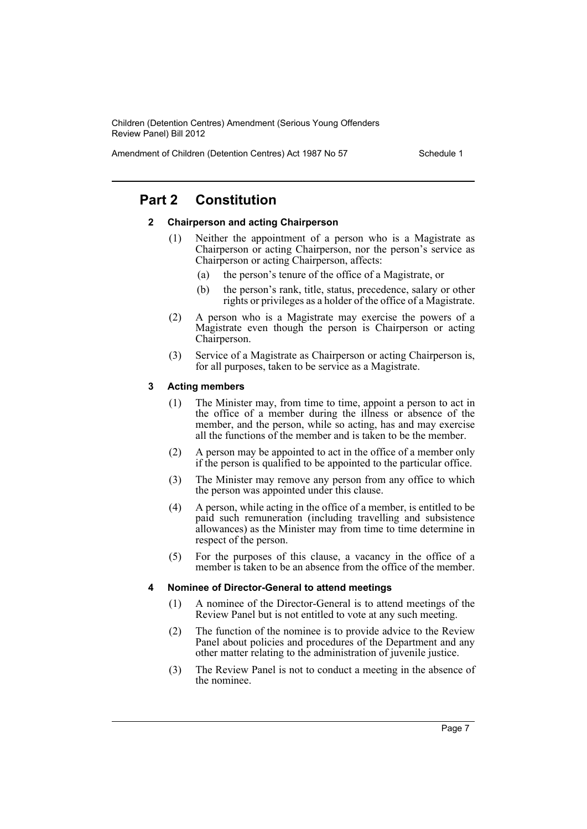Amendment of Children (Detention Centres) Act 1987 No 57 Schedule 1

# **Part 2 Constitution**

## **2 Chairperson and acting Chairperson**

- (1) Neither the appointment of a person who is a Magistrate as Chairperson or acting Chairperson, nor the person's service as Chairperson or acting Chairperson, affects:
	- (a) the person's tenure of the office of a Magistrate, or
	- (b) the person's rank, title, status, precedence, salary or other rights or privileges as a holder of the office of a Magistrate.
- (2) A person who is a Magistrate may exercise the powers of a Magistrate even though the person is Chairperson or acting Chairperson.
- (3) Service of a Magistrate as Chairperson or acting Chairperson is, for all purposes, taken to be service as a Magistrate.

### **3 Acting members**

- (1) The Minister may, from time to time, appoint a person to act in the office of a member during the illness or absence of the member, and the person, while so acting, has and may exercise all the functions of the member and is taken to be the member.
- (2) A person may be appointed to act in the office of a member only if the person is qualified to be appointed to the particular office.
- (3) The Minister may remove any person from any office to which the person was appointed under this clause.
- (4) A person, while acting in the office of a member, is entitled to be paid such remuneration (including travelling and subsistence allowances) as the Minister may from time to time determine in respect of the person.
- (5) For the purposes of this clause, a vacancy in the office of a member is taken to be an absence from the office of the member.

### **4 Nominee of Director-General to attend meetings**

- (1) A nominee of the Director-General is to attend meetings of the Review Panel but is not entitled to vote at any such meeting.
- (2) The function of the nominee is to provide advice to the Review Panel about policies and procedures of the Department and any other matter relating to the administration of juvenile justice.
- (3) The Review Panel is not to conduct a meeting in the absence of the nominee.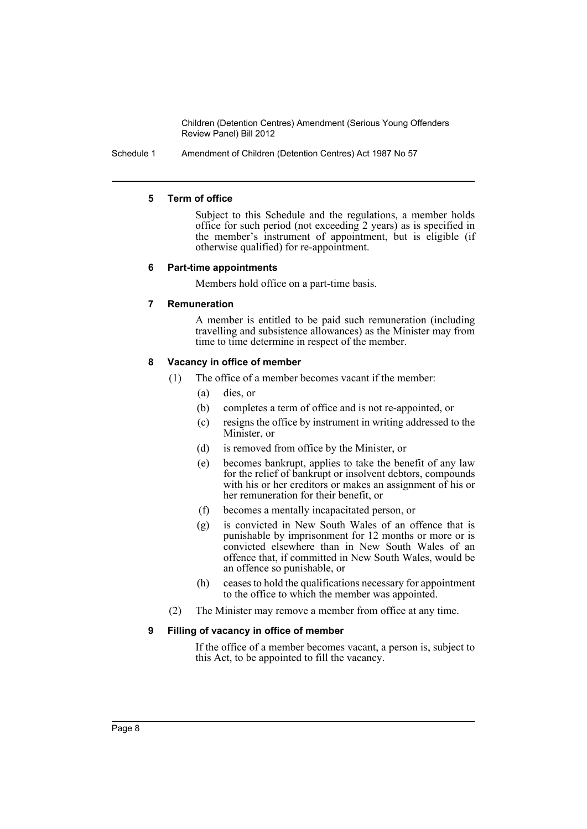Schedule 1 Amendment of Children (Detention Centres) Act 1987 No 57

## **5 Term of office**

Subject to this Schedule and the regulations, a member holds office for such period (not exceeding 2 years) as is specified in the member's instrument of appointment, but is eligible (if otherwise qualified) for re-appointment.

## **6 Part-time appointments**

Members hold office on a part-time basis.

## **7 Remuneration**

A member is entitled to be paid such remuneration (including travelling and subsistence allowances) as the Minister may from time to time determine in respect of the member.

## **8 Vacancy in office of member**

(1) The office of a member becomes vacant if the member:

- (a) dies, or
- (b) completes a term of office and is not re-appointed, or
- (c) resigns the office by instrument in writing addressed to the Minister, or
- (d) is removed from office by the Minister, or
- (e) becomes bankrupt, applies to take the benefit of any law for the relief of bankrupt or insolvent debtors, compounds with his or her creditors or makes an assignment of his or her remuneration for their benefit, or
- (f) becomes a mentally incapacitated person, or
- (g) is convicted in New South Wales of an offence that is punishable by imprisonment for 12 months or more or is convicted elsewhere than in New South Wales of an offence that, if committed in New South Wales, would be an offence so punishable, or
- (h) ceases to hold the qualifications necessary for appointment to the office to which the member was appointed.
- (2) The Minister may remove a member from office at any time.

## **9 Filling of vacancy in office of member**

If the office of a member becomes vacant, a person is, subject to this Act, to be appointed to fill the vacancy.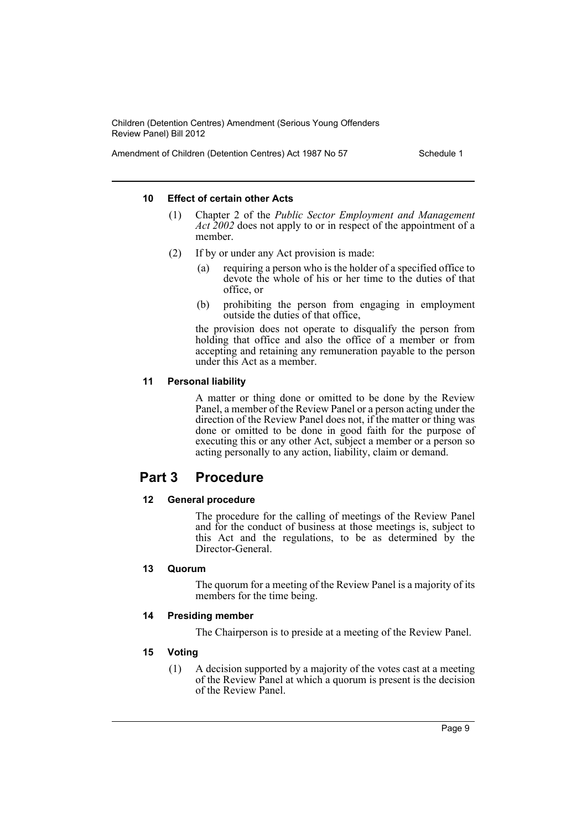Amendment of Children (Detention Centres) Act 1987 No 57 Schedule 1

## **10 Effect of certain other Acts**

- (1) Chapter 2 of the *Public Sector Employment and Management Act 2002* does not apply to or in respect of the appointment of a member.
- (2) If by or under any Act provision is made:
	- (a) requiring a person who is the holder of a specified office to devote the whole of his or her time to the duties of that office, or
	- (b) prohibiting the person from engaging in employment outside the duties of that office,

the provision does not operate to disqualify the person from holding that office and also the office of a member or from accepting and retaining any remuneration payable to the person under this Act as a member.

## **11 Personal liability**

A matter or thing done or omitted to be done by the Review Panel, a member of the Review Panel or a person acting under the direction of the Review Panel does not, if the matter or thing was done or omitted to be done in good faith for the purpose of executing this or any other Act, subject a member or a person so acting personally to any action, liability, claim or demand.

# **Part 3 Procedure**

## **12 General procedure**

The procedure for the calling of meetings of the Review Panel and for the conduct of business at those meetings is, subject to this Act and the regulations, to be as determined by the Director-General.

## **13 Quorum**

The quorum for a meeting of the Review Panel is a majority of its members for the time being.

## **14 Presiding member**

The Chairperson is to preside at a meeting of the Review Panel.

## **15 Voting**

(1) A decision supported by a majority of the votes cast at a meeting of the Review Panel at which a quorum is present is the decision of the Review Panel.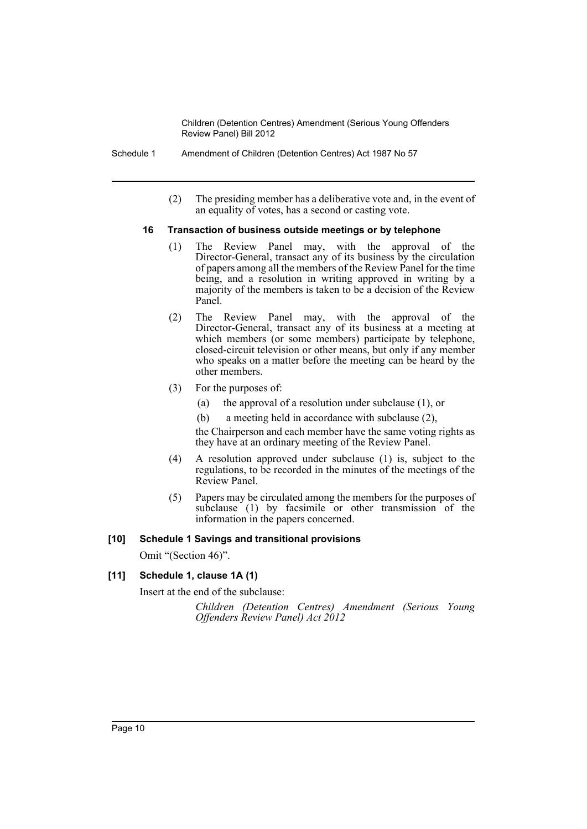- Schedule 1 Amendment of Children (Detention Centres) Act 1987 No 57
	- (2) The presiding member has a deliberative vote and, in the event of an equality of votes, has a second or casting vote.

### **16 Transaction of business outside meetings or by telephone**

- (1) The Review Panel may, with the approval of the Director-General, transact any of its business by the circulation of papers among all the members of the Review Panel for the time being, and a resolution in writing approved in writing by a majority of the members is taken to be a decision of the Review Panel.
- (2) The Review Panel may, with the approval of the Director-General, transact any of its business at a meeting at which members (or some members) participate by telephone, closed-circuit television or other means, but only if any member who speaks on a matter before the meeting can be heard by the other members.
- (3) For the purposes of:
	- (a) the approval of a resolution under subclause (1), or
	- (b) a meeting held in accordance with subclause (2),

the Chairperson and each member have the same voting rights as they have at an ordinary meeting of the Review Panel.

- (4) A resolution approved under subclause (1) is, subject to the regulations, to be recorded in the minutes of the meetings of the Review Panel.
- (5) Papers may be circulated among the members for the purposes of subclause (1) by facsimile or other transmission of the information in the papers concerned.

## **[10] Schedule 1 Savings and transitional provisions**

Omit "(Section 46)".

## **[11] Schedule 1, clause 1A (1)**

Insert at the end of the subclause:

*Children (Detention Centres) Amendment (Serious Young Offenders Review Panel) Act 2012*